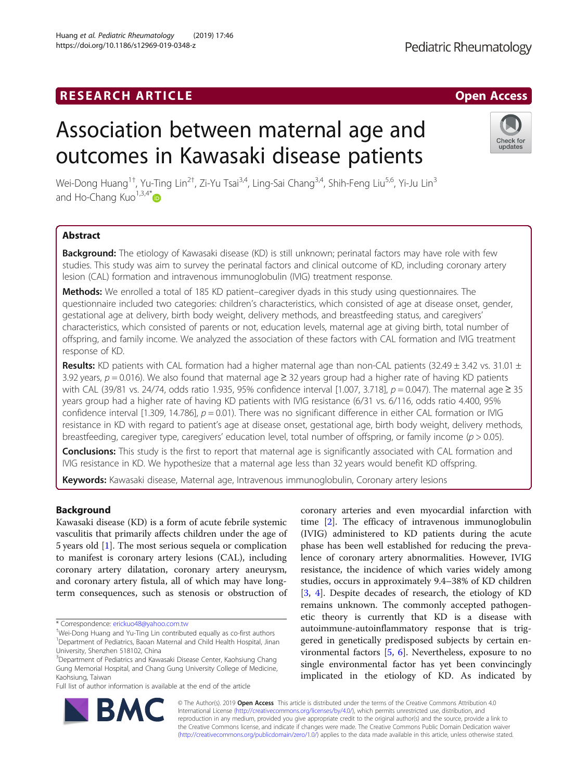# **RESEARCH ARTICLE Example 2018 12:30 THE Open Access**

# Association between maternal age and outcomes in Kawasaki disease patients

Wei-Dong Huang<sup>1†</sup>, Yu-Ting Lin<sup>2†</sup>, Zi-Yu Tsai<sup>3,4</sup>, Ling-Sai Chang<sup>3,4</sup>, Shih-Feng Liu<sup>5,6</sup>, Yi-Ju Lin<sup>3</sup> and Ho-Chang Kuo $1,3,4^*$  $1,3,4^*$ 

# Abstract

Background: The etiology of Kawasaki disease (KD) is still unknown; perinatal factors may have role with few studies. This study was aim to survey the perinatal factors and clinical outcome of KD, including coronary artery lesion (CAL) formation and intravenous immunoglobulin (IVIG) treatment response.

**Methods:** We enrolled a total of 185 KD patient–caregiver dyads in this study using questionnaires. The questionnaire included two categories: children's characteristics, which consisted of age at disease onset, gender, gestational age at delivery, birth body weight, delivery methods, and breastfeeding status, and caregivers' characteristics, which consisted of parents or not, education levels, maternal age at giving birth, total number of offspring, and family income. We analyzed the association of these factors with CAL formation and IVIG treatment response of KD.

Results: KD patients with CAL formation had a higher maternal age than non-CAL patients (32.49  $\pm$  3.42 vs. 31.01  $\pm$ 3.92 years,  $p = 0.016$ ). We also found that maternal age  $\geq$  32 years group had a higher rate of having KD patients with CAL (39/81 vs. 24/74, odds ratio 1.935, 95% confidence interval [1.007, 3.718],  $p = 0.047$ ). The maternal age ≥ 35 years group had a higher rate of having KD patients with IVIG resistance (6/31 vs. 6/116, odds ratio 4.400, 95% confidence interval [1.309, 14.786],  $p = 0.01$ ). There was no significant difference in either CAL formation or IVIG resistance in KD with regard to patient's age at disease onset, gestational age, birth body weight, delivery methods, breastfeeding, caregiver type, caregivers' education level, total number of offspring, or family income ( $p > 0.05$ ).

Conclusions: This study is the first to report that maternal age is significantly associated with CAL formation and IVIG resistance in KD. We hypothesize that a maternal age less than 32 years would benefit KD offspring.

Keywords: Kawasaki disease, Maternal age, Intravenous immunoglobulin, Coronary artery lesions

# Background

Kawasaki disease (KD) is a form of acute febrile systemic vasculitis that primarily affects children under the age of 5 years old [[1\]](#page-6-0). The most serious sequela or complication to manifest is coronary artery lesions (CAL), including coronary artery dilatation, coronary artery aneurysm, and coronary artery fistula, all of which may have longterm consequences, such as stenosis or obstruction of

\* Correspondence: [erickuo48@yahoo.com.tw](mailto:erickuo48@yahoo.com.tw) †

Full list of author information is available at the end of the article

(IVIG) administered to KD patients during the acute phase has been well established for reducing the prevalence of coronary artery abnormalities. However, IVIG resistance, the incidence of which varies widely among studies, occurs in approximately 9.4–38% of KD children [[3,](#page-6-0) [4](#page-6-0)]. Despite decades of research, the etiology of KD remains unknown. The commonly accepted pathogenetic theory is currently that KD is a disease with autoimmune-autoinflammatory response that is triggered in genetically predisposed subjects by certain environmental factors [\[5](#page-6-0), [6](#page-6-0)]. Nevertheless, exposure to no single environmental factor has yet been convincingly implicated in the etiology of KD. As indicated by

coronary arteries and even myocardial infarction with time [[2](#page-6-0)]. The efficacy of intravenous immunoglobulin

© The Author(s). 2019 Open Access This article is distributed under the terms of the Creative Commons Attribution 4.0 International License [\(http://creativecommons.org/licenses/by/4.0/](http://creativecommons.org/licenses/by/4.0/)), which permits unrestricted use, distribution, and reproduction in any medium, provided you give appropriate credit to the original author(s) and the source, provide a link to the Creative Commons license, and indicate if changes were made. The Creative Commons Public Domain Dedication waiver [\(http://creativecommons.org/publicdomain/zero/1.0/](http://creativecommons.org/publicdomain/zero/1.0/)) applies to the data made available in this article, unless otherwise stated.





Wei-Dong Huang and Yu-Ting Lin contributed equally as co-first authors <sup>1</sup>Department of Pediatrics, Baoan Maternal and Child Health Hospital, Jinan

<sup>&</sup>lt;sup>3</sup>Department of Pediatrics and Kawasaki Disease Center, Kaohsiung Chang Gung Memorial Hospital, and Chang Gung University College of Medicine, Kaohsiung, Taiwan

University, Shenzhen 518102, China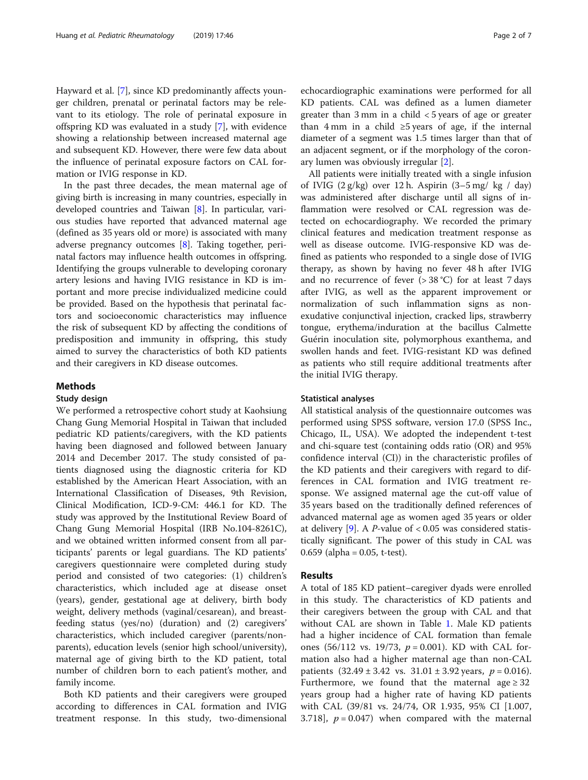Hayward et al. [[7\]](#page-6-0), since KD predominantly affects younger children, prenatal or perinatal factors may be relevant to its etiology. The role of perinatal exposure in offspring KD was evaluated in a study [[7](#page-6-0)], with evidence showing a relationship between increased maternal age and subsequent KD. However, there were few data about the influence of perinatal exposure factors on CAL formation or IVIG response in KD.

In the past three decades, the mean maternal age of giving birth is increasing in many countries, especially in developed countries and Taiwan [[8\]](#page-6-0). In particular, various studies have reported that advanced maternal age (defined as 35 years old or more) is associated with many adverse pregnancy outcomes [[8\]](#page-6-0). Taking together, perinatal factors may influence health outcomes in offspring. Identifying the groups vulnerable to developing coronary artery lesions and having IVIG resistance in KD is important and more precise individualized medicine could be provided. Based on the hypothesis that perinatal factors and socioeconomic characteristics may influence the risk of subsequent KD by affecting the conditions of predisposition and immunity in offspring, this study aimed to survey the characteristics of both KD patients and their caregivers in KD disease outcomes.

# Methods

## Study design

We performed a retrospective cohort study at Kaohsiung Chang Gung Memorial Hospital in Taiwan that included pediatric KD patients/caregivers, with the KD patients having been diagnosed and followed between January 2014 and December 2017. The study consisted of patients diagnosed using the diagnostic criteria for KD established by the American Heart Association, with an International Classification of Diseases, 9th Revision, Clinical Modification, ICD-9-CM: 446.1 for KD. The study was approved by the Institutional Review Board of Chang Gung Memorial Hospital (IRB No.104-8261C), and we obtained written informed consent from all participants' parents or legal guardians. The KD patients' caregivers questionnaire were completed during study period and consisted of two categories: (1) children's characteristics, which included age at disease onset (years), gender, gestational age at delivery, birth body weight, delivery methods (vaginal/cesarean), and breastfeeding status (yes/no) (duration) and (2) caregivers' characteristics, which included caregiver (parents/nonparents), education levels (senior high school/university), maternal age of giving birth to the KD patient, total number of children born to each patient's mother, and family income.

Both KD patients and their caregivers were grouped according to differences in CAL formation and IVIG treatment response. In this study, two-dimensional

echocardiographic examinations were performed for all KD patients. CAL was defined as a lumen diameter greater than 3 mm in a child < 5 years of age or greater than 4 mm in a child  $\geq$ 5 years of age, if the internal diameter of a segment was 1.5 times larger than that of an adjacent segment, or if the morphology of the coronary lumen was obviously irregular [[2](#page-6-0)].

All patients were initially treated with a single infusion of IVIG  $(2 g/kg)$  over 12 h. Aspirin  $(3-5 mg/kg / day)$ was administered after discharge until all signs of inflammation were resolved or CAL regression was detected on echocardiography. We recorded the primary clinical features and medication treatment response as well as disease outcome. IVIG-responsive KD was defined as patients who responded to a single dose of IVIG therapy, as shown by having no fever 48 h after IVIG and no recurrence of fever  $(> 38 °C)$  for at least 7 days after IVIG, as well as the apparent improvement or normalization of such inflammation signs as nonexudative conjunctival injection, cracked lips, strawberry tongue, erythema/induration at the bacillus Calmette Guérin inoculation site, polymorphous exanthema, and swollen hands and feet. IVIG-resistant KD was defined as patients who still require additional treatments after the initial IVIG therapy.

## Statistical analyses

All statistical analysis of the questionnaire outcomes was performed using SPSS software, version 17.0 (SPSS Inc., Chicago, IL, USA). We adopted the independent t-test and chi-square test (containing odds ratio (OR) and 95% confidence interval (CI)) in the characteristic profiles of the KD patients and their caregivers with regard to differences in CAL formation and IVIG treatment response. We assigned maternal age the cut-off value of 35 years based on the traditionally defined references of advanced maternal age as women aged 35 years or older at delivery [\[9](#page-6-0)]. A *P*-value of  $< 0.05$  was considered statistically significant. The power of this study in CAL was 0.659 (alpha =  $0.05$ , t-test).

### Results

A total of 185 KD patient–caregiver dyads were enrolled in this study. The characteristics of KD patients and their caregivers between the group with CAL and that without CAL are shown in Table [1.](#page-2-0) Male KD patients had a higher incidence of CAL formation than female ones (56/112 vs. 19/73,  $p = 0.001$ ). KD with CAL formation also had a higher maternal age than non-CAL patients  $(32.49 \pm 3.42 \text{ vs. } 31.01 \pm 3.92 \text{ years}, p = 0.016).$ Furthermore, we found that the maternal age  $\geq 32$ years group had a higher rate of having KD patients with CAL (39/81 vs. 24/74, OR 1.935, 95% CI [1.007, 3.718],  $p = 0.047$ ) when compared with the maternal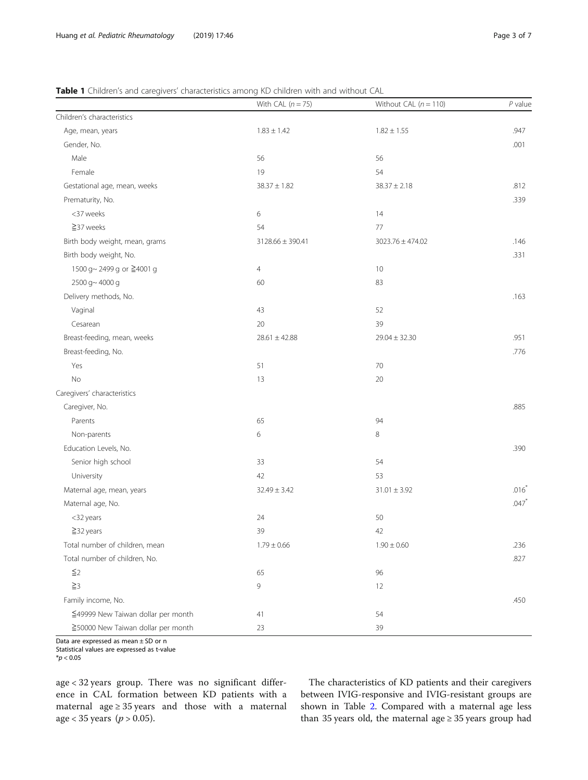# <span id="page-2-0"></span>Table 1 Children's and caregivers' characteristics among KD children with and without CAL

|                                    | With CAL $(n = 75)$  | Without CAL $(n = 110)$ | $P$ value |
|------------------------------------|----------------------|-------------------------|-----------|
| Children's characteristics         |                      |                         |           |
| Age, mean, years                   | $1.83 \pm 1.42$      | $1.82 \pm 1.55$         | .947      |
| Gender, No.                        |                      |                         | .001      |
| Male                               | 56                   | 56                      |           |
| Female                             | 19                   | 54                      |           |
| Gestational age, mean, weeks       | $38.37 \pm 1.82$     | $38.37 \pm 2.18$        | .812      |
| Prematurity, No.                   |                      |                         | .339      |
| <37 weeks                          | 6                    | 14                      |           |
| $\geq$ 37 weeks                    | 54                   | 77                      |           |
| Birth body weight, mean, grams     | $3128.66 \pm 390.41$ | 3023.76 ± 474.02        | .146      |
| Birth body weight, No.             |                      |                         | .331      |
| 1500 g~ 2499 g or ≧4001 g          | $\overline{4}$       | 10                      |           |
| 2500 g~4000 g                      | 60                   | 83                      |           |
| Delivery methods, No.              |                      |                         | .163      |
| Vaginal                            | 43                   | 52                      |           |
| Cesarean                           | 20                   | 39                      |           |
| Breast-feeding, mean, weeks        | $28.61 \pm 42.88$    | $29.04 \pm 32.30$       | .951      |
| Breast-feeding, No.                |                      |                         | .776      |
| Yes                                | 51                   | $70\,$                  |           |
| No                                 | 13                   | 20                      |           |
| Caregivers' characteristics        |                      |                         |           |
| Caregiver, No.                     |                      |                         | .885      |
| Parents                            | 65                   | 94                      |           |
| Non-parents                        | 6                    | 8                       |           |
| Education Levels, No.              |                      |                         | .390      |
| Senior high school                 | 33                   | 54                      |           |
| University                         | 42                   | 53                      |           |
| Maternal age, mean, years          | $32.49 \pm 3.42$     | $31.01 \pm 3.92$        | $.016*$   |
| Maternal age, No.                  |                      |                         | $.047*$   |
| <32 years                          | 24                   | 50                      |           |
| $\geq$ 32 years                    | 39                   | 42                      |           |
| Total number of children, mean     | $1.79 \pm 0.66$      | $1.90 \pm 0.60$         | .236      |
| Total number of children, No.      |                      |                         | .827      |
| $\leq$ 2                           | 65                   | 96                      |           |
| $\geq$ 3                           | 9                    | 12                      |           |
| Family income, No.                 |                      |                         | .450      |
| ≦49999 New Taiwan dollar per month | 41                   | 54                      |           |
| ≧50000 New Taiwan dollar per month | 23                   | 39                      |           |

Data are expressed as mean ± SD or n

Statistical values are expressed as t-value

age < 32 years group. There was no significant difference in CAL formation between KD patients with a maternal age  $\geq$  35 years and those with a maternal age < 35 years ( $p > 0.05$ ).

The characteristics of KD patients and their caregivers between IVIG-responsive and IVIG-resistant groups are shown in Table [2.](#page-3-0) Compared with a maternal age less than 35 years old, the maternal age  $\geq$  35 years group had

 $*$ *p* < 0.05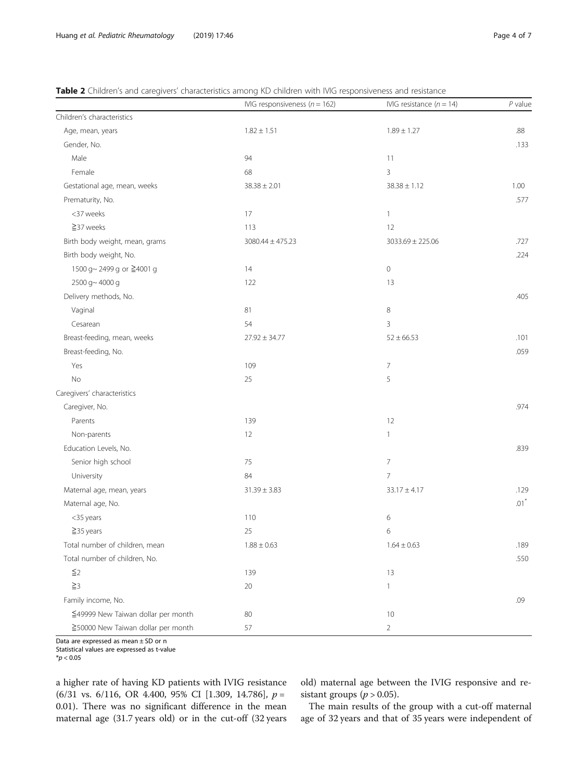<span id="page-3-0"></span>

| <b>Table 2</b> Children's and caregivers' characteristics among KD children with IVIG responsiveness and resistance |  |  |  |
|---------------------------------------------------------------------------------------------------------------------|--|--|--|
|                                                                                                                     |  |  |  |

|                                    | IVIG responsiveness ( $n = 162$ ) | IVIG resistance $(n = 14)$ | $P$ value          |
|------------------------------------|-----------------------------------|----------------------------|--------------------|
| Children's characteristics         |                                   |                            |                    |
| Age, mean, years                   | $1.82 \pm 1.51$                   | $1.89 \pm 1.27$            | .88                |
| Gender, No.                        |                                   |                            | .133               |
| Male                               | 94                                | 11                         |                    |
| Female                             | 68                                | 3                          |                    |
| Gestational age, mean, weeks       | $38.38 \pm 2.01$                  | $38.38 \pm 1.12$           | 1.00               |
| Prematurity, No.                   |                                   |                            | .577               |
| <37 weeks                          | 17                                | $\mathbf{1}$               |                    |
| ≧37 weeks                          | 113                               | 12                         |                    |
| Birth body weight, mean, grams     | $3080.44 \pm 475.23$              | $3033.69 \pm 225.06$       | .727               |
| Birth body weight, No.             |                                   |                            | .224               |
| 1500 g~ 2499 g or ≧4001 g          | 14                                | $\mathbb O$                |                    |
| 2500 g~4000 g                      | 122                               | 13                         |                    |
| Delivery methods, No.              |                                   |                            | .405               |
| Vaginal                            | 81                                | $\,8\,$                    |                    |
| Cesarean                           | 54                                | $\mathbf{3}$               |                    |
| Breast-feeding, mean, weeks        | $27.92 \pm 34.77$                 | $52 \pm 66.53$             | .101               |
| Breast-feeding, No.                |                                   |                            | .059               |
| Yes                                | 109                               | $\overline{\phantom{a}}$   |                    |
| No                                 | 25                                | 5                          |                    |
| Caregivers' characteristics        |                                   |                            |                    |
| Caregiver, No.                     |                                   |                            | .974               |
| Parents                            | 139                               | 12                         |                    |
| Non-parents                        | 12                                | $\mathbf{1}$               |                    |
| Education Levels, No.              |                                   |                            | .839               |
| Senior high school                 | 75                                | $\overline{\phantom{a}}$   |                    |
| University                         | 84                                | $\overline{7}$             |                    |
| Maternal age, mean, years          | $31.39 \pm 3.83$                  | $33.17 \pm 4.17$           | .129               |
| Maternal age, No.                  |                                   |                            | $.01$ <sup>*</sup> |
| <35 years                          | 110                               | 6                          |                    |
| $\geq$ 35 years                    | 25                                | 6                          |                    |
| Total number of children, mean     | $1.88 \pm 0.63$                   | $1.64 \pm 0.63$            | .189               |
| Total number of children, No.      |                                   |                            | .550               |
| $\leq$ 2                           | 139                               | 13                         |                    |
| $\geqq$ 3                          | 20                                | $\mathbf{1}$               |                    |
| Family income, No.                 |                                   |                            | .09                |
| ≦49999 New Taiwan dollar per month | 80                                | 10                         |                    |
| ≧50000 New Taiwan dollar per month | 57                                | $\overline{2}$             |                    |

Data are expressed as mean  $\pm$  SD or n

Statistical values are expressed as t-value

a higher rate of having KD patients with IVIG resistance (6/31 vs. 6/116, OR 4.400, 95% CI [1.309, 14.786],  $p =$ 0.01). There was no significant difference in the mean maternal age (31.7 years old) or in the cut-off (32 years

old) maternal age between the IVIG responsive and resistant groups ( $p > 0.05$ ).

The main results of the group with a cut-off maternal age of 32 years and that of 35 years were independent of

 $*$ *p* < 0.05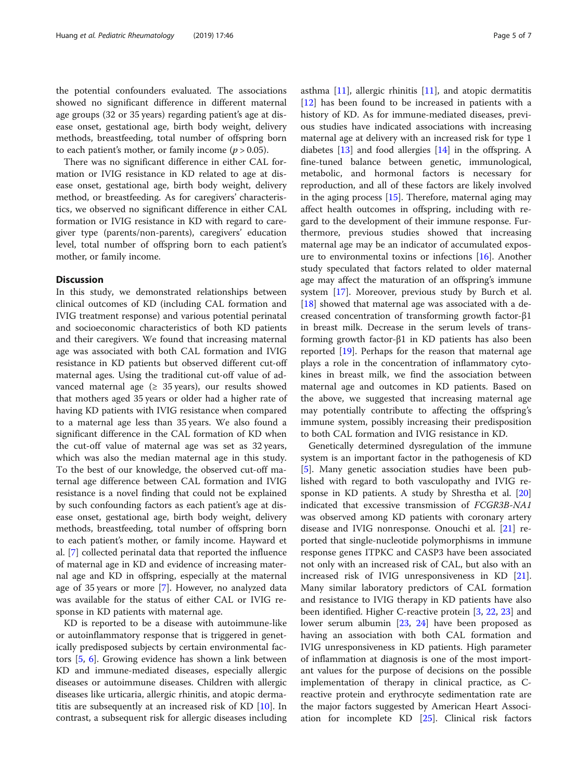the potential confounders evaluated. The associations showed no significant difference in different maternal age groups (32 or 35 years) regarding patient's age at disease onset, gestational age, birth body weight, delivery methods, breastfeeding, total number of offspring born to each patient's mother, or family income ( $p > 0.05$ ).

There was no significant difference in either CAL formation or IVIG resistance in KD related to age at disease onset, gestational age, birth body weight, delivery method, or breastfeeding. As for caregivers' characteristics, we observed no significant difference in either CAL formation or IVIG resistance in KD with regard to caregiver type (parents/non-parents), caregivers' education level, total number of offspring born to each patient's mother, or family income.

# Discussion

In this study, we demonstrated relationships between clinical outcomes of KD (including CAL formation and IVIG treatment response) and various potential perinatal and socioeconomic characteristics of both KD patients and their caregivers. We found that increasing maternal age was associated with both CAL formation and IVIG resistance in KD patients but observed different cut-off maternal ages. Using the traditional cut-off value of advanced maternal age  $(≥ 35 \text{ years})$ , our results showed that mothers aged 35 years or older had a higher rate of having KD patients with IVIG resistance when compared to a maternal age less than 35 years. We also found a significant difference in the CAL formation of KD when the cut-off value of maternal age was set as 32 years, which was also the median maternal age in this study. To the best of our knowledge, the observed cut-off maternal age difference between CAL formation and IVIG resistance is a novel finding that could not be explained by such confounding factors as each patient's age at disease onset, gestational age, birth body weight, delivery methods, breastfeeding, total number of offspring born to each patient's mother, or family income. Hayward et al. [[7\]](#page-6-0) collected perinatal data that reported the influence of maternal age in KD and evidence of increasing maternal age and KD in offspring, especially at the maternal age of 35 years or more [[7\]](#page-6-0). However, no analyzed data was available for the status of either CAL or IVIG response in KD patients with maternal age.

KD is reported to be a disease with autoimmune-like or autoinflammatory response that is triggered in genetically predisposed subjects by certain environmental factors [\[5](#page-6-0), [6\]](#page-6-0). Growing evidence has shown a link between KD and immune-mediated diseases, especially allergic diseases or autoimmune diseases. Children with allergic diseases like urticaria, allergic rhinitis, and atopic dermatitis are subsequently at an increased risk of KD [\[10](#page-6-0)]. In contrast, a subsequent risk for allergic diseases including asthma [\[11](#page-6-0)], allergic rhinitis [\[11\]](#page-6-0), and atopic dermatitis [[12\]](#page-6-0) has been found to be increased in patients with a history of KD. As for immune-mediated diseases, previous studies have indicated associations with increasing maternal age at delivery with an increased risk for type 1 diabetes [[13\]](#page-6-0) and food allergies [\[14](#page-6-0)] in the offspring. A fine-tuned balance between genetic, immunological, metabolic, and hormonal factors is necessary for reproduction, and all of these factors are likely involved in the aging process  $[15]$  $[15]$  $[15]$ . Therefore, maternal aging may affect health outcomes in offspring, including with regard to the development of their immune response. Furthermore, previous studies showed that increasing maternal age may be an indicator of accumulated exposure to environmental toxins or infections [[16](#page-6-0)]. Another study speculated that factors related to older maternal age may affect the maturation of an offspring's immune system [\[17](#page-6-0)]. Moreover, previous study by Burch et al. [[18\]](#page-6-0) showed that maternal age was associated with a decreased concentration of transforming growth factor-β1 in breast milk. Decrease in the serum levels of transforming growth factor-β1 in KD patients has also been reported [[19](#page-6-0)]. Perhaps for the reason that maternal age plays a role in the concentration of inflammatory cytokines in breast milk, we find the association between maternal age and outcomes in KD patients. Based on the above, we suggested that increasing maternal age may potentially contribute to affecting the offspring's immune system, possibly increasing their predisposition to both CAL formation and IVIG resistance in KD.

Genetically determined dysregulation of the immune system is an important factor in the pathogenesis of KD [[5\]](#page-6-0). Many genetic association studies have been published with regard to both vasculopathy and IVIG response in KD patients. A study by Shrestha et al. [[20](#page-6-0)] indicated that excessive transmission of FCGR3B-NA1 was observed among KD patients with coronary artery disease and IVIG nonresponse. Onouchi et al. [\[21](#page-6-0)] reported that single-nucleotide polymorphisms in immune response genes ITPKC and CASP3 have been associated not only with an increased risk of CAL, but also with an increased risk of IVIG unresponsiveness in KD [\[21](#page-6-0)]. Many similar laboratory predictors of CAL formation and resistance to IVIG therapy in KD patients have also been identified. Higher C-reactive protein [\[3](#page-6-0), [22](#page-6-0), [23](#page-6-0)] and lower serum albumin [[23](#page-6-0), [24](#page-6-0)] have been proposed as having an association with both CAL formation and IVIG unresponsiveness in KD patients. High parameter of inflammation at diagnosis is one of the most important values for the purpose of decisions on the possible implementation of therapy in clinical practice, as Creactive protein and erythrocyte sedimentation rate are the major factors suggested by American Heart Association for incomplete KD [\[25](#page-6-0)]. Clinical risk factors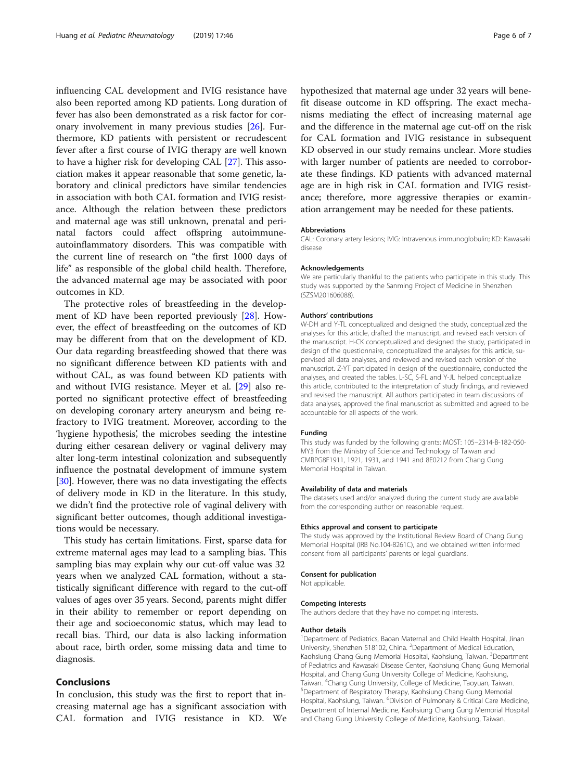influencing CAL development and IVIG resistance have also been reported among KD patients. Long duration of fever has also been demonstrated as a risk factor for coronary involvement in many previous studies [\[26](#page-6-0)]. Furthermore, KD patients with persistent or recrudescent fever after a first course of IVIG therapy are well known to have a higher risk for developing CAL [[27](#page-6-0)]. This association makes it appear reasonable that some genetic, laboratory and clinical predictors have similar tendencies in association with both CAL formation and IVIG resistance. Although the relation between these predictors and maternal age was still unknown, prenatal and perinatal factors could affect offspring autoimmuneautoinflammatory disorders. This was compatible with the current line of research on "the first 1000 days of life" as responsible of the global child health. Therefore, the advanced maternal age may be associated with poor outcomes in KD.

The protective roles of breastfeeding in the development of KD have been reported previously [[28\]](#page-6-0). However, the effect of breastfeeding on the outcomes of KD may be different from that on the development of KD. Our data regarding breastfeeding showed that there was no significant difference between KD patients with and without CAL, as was found between KD patients with and without IVIG resistance. Meyer et al. [[29](#page-6-0)] also reported no significant protective effect of breastfeeding on developing coronary artery aneurysm and being refractory to IVIG treatment. Moreover, according to the 'hygiene hypothesis', the microbes seeding the intestine during either cesarean delivery or vaginal delivery may alter long-term intestinal colonization and subsequently influence the postnatal development of immune system [[30\]](#page-6-0). However, there was no data investigating the effects of delivery mode in KD in the literature. In this study, we didn't find the protective role of vaginal delivery with significant better outcomes, though additional investigations would be necessary.

This study has certain limitations. First, sparse data for extreme maternal ages may lead to a sampling bias. This sampling bias may explain why our cut-off value was 32 years when we analyzed CAL formation, without a statistically significant difference with regard to the cut-off values of ages over 35 years. Second, parents might differ in their ability to remember or report depending on their age and socioeconomic status, which may lead to recall bias. Third, our data is also lacking information about race, birth order, some missing data and time to diagnosis.

# Conclusions

In conclusion, this study was the first to report that increasing maternal age has a significant association with CAL formation and IVIG resistance in KD. We hypothesized that maternal age under 32 years will benefit disease outcome in KD offspring. The exact mechanisms mediating the effect of increasing maternal age and the difference in the maternal age cut-off on the risk for CAL formation and IVIG resistance in subsequent KD observed in our study remains unclear. More studies with larger number of patients are needed to corroborate these findings. KD patients with advanced maternal age are in high risk in CAL formation and IVIG resistance; therefore, more aggressive therapies or examination arrangement may be needed for these patients.

#### Abbreviations

CAL: Coronary artery lesions; IVIG: Intravenous immunoglobulin; KD: Kawasaki disease

#### Acknowledgements

We are particularly thankful to the patients who participate in this study. This study was supported by the Sanming Project of Medicine in Shenzhen (SZSM201606088).

#### Authors' contributions

W-DH and Y-TL conceptualized and designed the study, conceptualized the analyses for this article, drafted the manuscript, and revised each version of the manuscript. H-CK conceptualized and designed the study, participated in design of the questionnaire, conceptualized the analyses for this article, supervised all data analyses, and reviewed and revised each version of the manuscript. Z-YT participated in design of the questionnaire, conducted the analyses, and created the tables. L-SC, S-FL and Y-JL helped conceptualize this article, contributed to the interpretation of study findings, and reviewed and revised the manuscript. All authors participated in team discussions of data analyses, approved the final manuscript as submitted and agreed to be accountable for all aspects of the work.

#### Funding

This study was funded by the following grants: MOST: 105–2314-B-182-050- MY3 from the Ministry of Science and Technology of Taiwan and CMRPG8F1911, 1921, 1931, and 1941 and 8E0212 from Chang Gung Memorial Hospital in Taiwan.

#### Availability of data and materials

The datasets used and/or analyzed during the current study are available from the corresponding author on reasonable request.

#### Ethics approval and consent to participate

The study was approved by the Institutional Review Board of Chang Gung Memorial Hospital (IRB No.104-8261C), and we obtained written informed consent from all participants' parents or legal guardians.

#### Consent for publication

Not applicable.

#### Competing interests

The authors declare that they have no competing interests.

#### Author details

<sup>1</sup>Department of Pediatrics, Baoan Maternal and Child Health Hospital, Jinan University, Shenzhen 518102, China. <sup>2</sup>Department of Medical Education, Kaohsiung Chang Gung Memorial Hospital, Kaohsiung, Taiwan. <sup>3</sup>Department of Pediatrics and Kawasaki Disease Center, Kaohsiung Chang Gung Memorial Hospital, and Chang Gung University College of Medicine, Kaohsiung, Taiwan. <sup>4</sup>Chang Gung University, College of Medicine, Taoyuan, Taiwan.<br><sup>5</sup>Department of Perpiratory Therapy, Kaobsiung Chang Gung Memorial Department of Respiratory Therapy, Kaohsiung Chang Gung Memorial Hospital, Kaohsiung, Taiwan. <sup>6</sup>Division of Pulmonary & Critical Care Medicine Department of Internal Medicine, Kaohsiung Chang Gung Memorial Hospital and Chang Gung University College of Medicine, Kaohsiung, Taiwan.